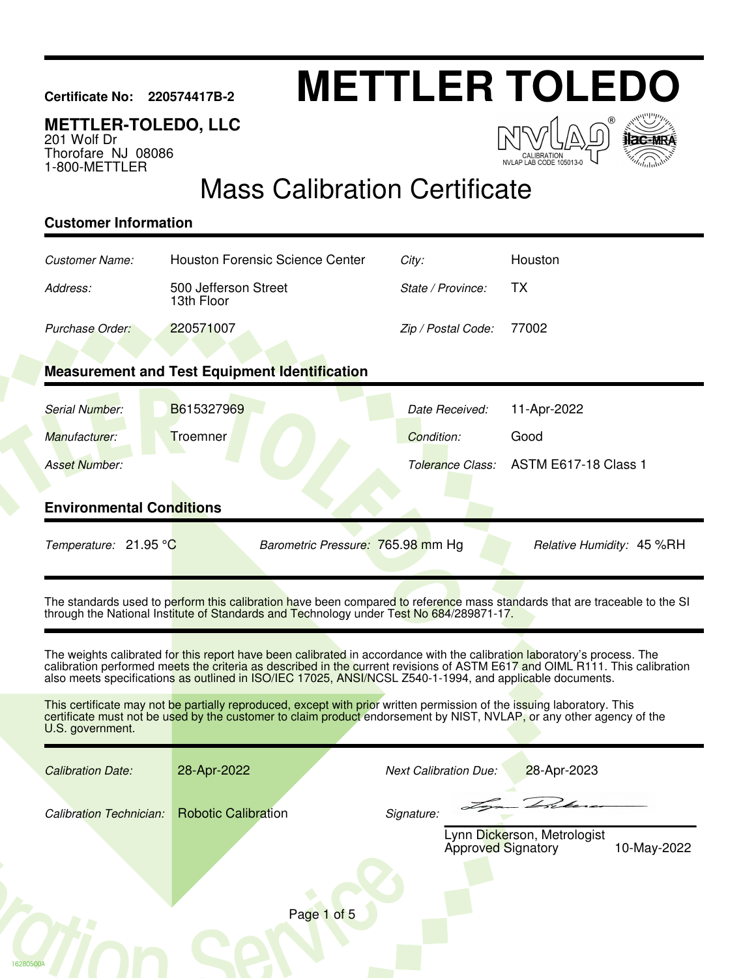# **Certificate No: 220574417B-2 METTLER TOLEDO**

### **METTLER-TOLEDO, LLC**

201 Wolf Dr Thorofare NJ 08086 1-800-METTLER





## Mass Calibration Certificate

#### **Customer Information**

16280500A

| Customer Name:                                                                                                                                                                                                        | <b>Houston Forensic Science Center</b>                                                                                                                                                                                                                                                                                                                              | City:                        | Houston                                    |  |  |  |
|-----------------------------------------------------------------------------------------------------------------------------------------------------------------------------------------------------------------------|---------------------------------------------------------------------------------------------------------------------------------------------------------------------------------------------------------------------------------------------------------------------------------------------------------------------------------------------------------------------|------------------------------|--------------------------------------------|--|--|--|
| Address:                                                                                                                                                                                                              | 500 Jefferson Street<br>13th Floor                                                                                                                                                                                                                                                                                                                                  | State / Province:            | ТX                                         |  |  |  |
| Purchase Order:                                                                                                                                                                                                       | 220571007                                                                                                                                                                                                                                                                                                                                                           | Zip / Postal Code:           | 77002                                      |  |  |  |
|                                                                                                                                                                                                                       |                                                                                                                                                                                                                                                                                                                                                                     |                              |                                            |  |  |  |
|                                                                                                                                                                                                                       | <b>Measurement and Test Equipment Identification</b>                                                                                                                                                                                                                                                                                                                |                              |                                            |  |  |  |
| Serial Number:                                                                                                                                                                                                        | B615327969                                                                                                                                                                                                                                                                                                                                                          | Date Received:               | 11-Apr-2022                                |  |  |  |
| Manufacturer:                                                                                                                                                                                                         | Troemner                                                                                                                                                                                                                                                                                                                                                            | Condition:                   | Good                                       |  |  |  |
| <b>Asset Number:</b>                                                                                                                                                                                                  |                                                                                                                                                                                                                                                                                                                                                                     | Tolerance Class:             | <b>ASTM E617-18 Class 1</b>                |  |  |  |
| <b>Environmental Conditions</b>                                                                                                                                                                                       |                                                                                                                                                                                                                                                                                                                                                                     |                              |                                            |  |  |  |
|                                                                                                                                                                                                                       |                                                                                                                                                                                                                                                                                                                                                                     |                              |                                            |  |  |  |
| Temperature: 21.95 °C                                                                                                                                                                                                 | Barometric Pressure: 765.98 mm Hg                                                                                                                                                                                                                                                                                                                                   |                              | Relative Humidity: 45 %RH                  |  |  |  |
| The standards used to perform this calibration have been compared to reference mass standards that are traceable to the SI<br>through the National Institute of Standards and Technology under Test No 684/289871-17. |                                                                                                                                                                                                                                                                                                                                                                     |                              |                                            |  |  |  |
|                                                                                                                                                                                                                       | The weights calibrated for this report have been calibrated in accordance with the calibration laboratory's process. The<br>calibration performed meets the criteria as described in the current revisions of ASTM E617 and OIML R111. This calibration<br>also meets specifications as outlined in ISO/IEC 17025, ANSI/NCSL Z540-1-1994, and applicable documents. |                              |                                            |  |  |  |
| U.S. government.                                                                                                                                                                                                      | This certificate may not be partially reproduced, except with prior written permission of the issuing laboratory. This<br>certificate must not be used by the customer to claim product endorsement by NIST, NVLAP, or any other agency of the                                                                                                                      |                              |                                            |  |  |  |
| <b>Calibration Date:</b>                                                                                                                                                                                              | 28-Apr-2022                                                                                                                                                                                                                                                                                                                                                         | <b>Next Calibration Due:</b> | 28-Apr-2023                                |  |  |  |
| <b>Calibration Technician:</b>                                                                                                                                                                                        | <b>Robotic Calibration</b>                                                                                                                                                                                                                                                                                                                                          | Signature:                   | Lynn Dickerson, Metrologist<br>10-May-2022 |  |  |  |
|                                                                                                                                                                                                                       |                                                                                                                                                                                                                                                                                                                                                                     | <b>Approved Signatory</b>    |                                            |  |  |  |
|                                                                                                                                                                                                                       | Page 1 of 5                                                                                                                                                                                                                                                                                                                                                         |                              |                                            |  |  |  |
|                                                                                                                                                                                                                       |                                                                                                                                                                                                                                                                                                                                                                     |                              |                                            |  |  |  |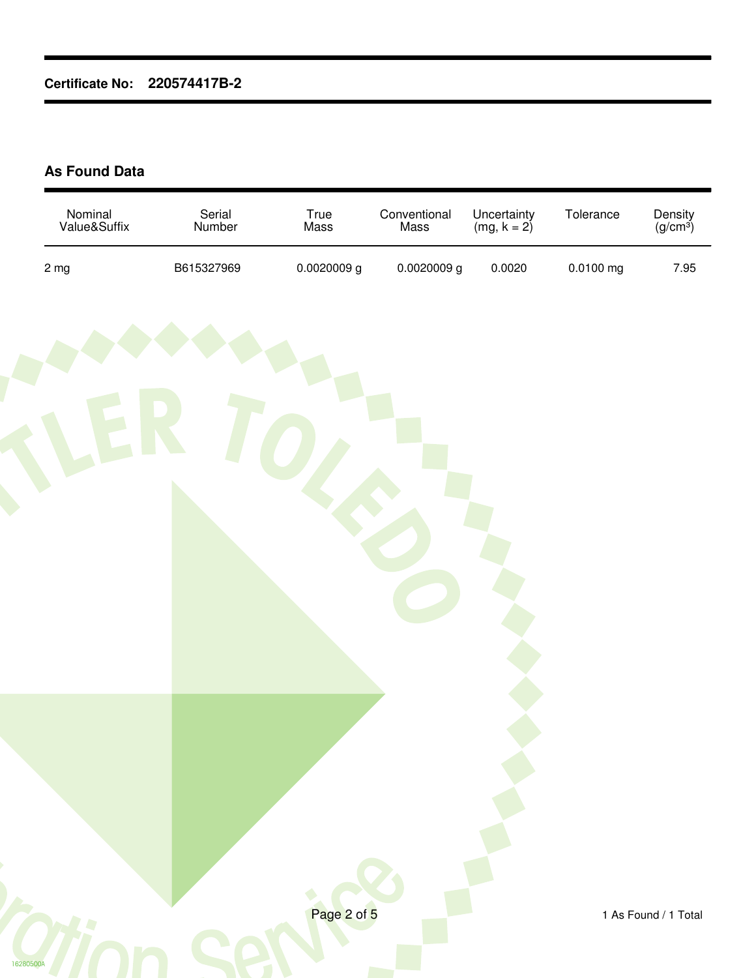#### **As Found Data**

| Nominal<br>Value&Suffix | Serial<br>Number | True<br>Mass | Conventional<br>Mass | Uncertainty<br>(mg, $k = 2$ ) | Tolerance | Density<br>(g/cm <sup>3</sup> ) |
|-------------------------|------------------|--------------|----------------------|-------------------------------|-----------|---------------------------------|
| $2 \, mg$               | B615327969       | 0.0020009g   | 0.0020009g           | 0.0020                        | 0.0100 mg | 7.95                            |
|                         |                  |              |                      |                               |           |                                 |
|                         |                  |              |                      |                               |           |                                 |
|                         |                  |              |                      |                               |           |                                 |
|                         |                  |              |                      |                               |           |                                 |
|                         |                  |              |                      |                               |           |                                 |
|                         |                  |              |                      |                               |           |                                 |
|                         |                  |              |                      |                               |           |                                 |
|                         |                  |              |                      |                               |           |                                 |
|                         |                  |              |                      |                               |           |                                 |
|                         |                  |              |                      |                               |           |                                 |
|                         |                  |              |                      |                               |           |                                 |
|                         |                  |              |                      |                               |           |                                 |
|                         |                  |              |                      |                               |           |                                 |
|                         |                  |              |                      |                               |           |                                 |
|                         |                  | Page 2 of 5  |                      |                               |           | 1 As Found / 1 Total            |
|                         |                  |              |                      |                               |           |                                 |
| 16280500A               |                  |              |                      |                               |           |                                 |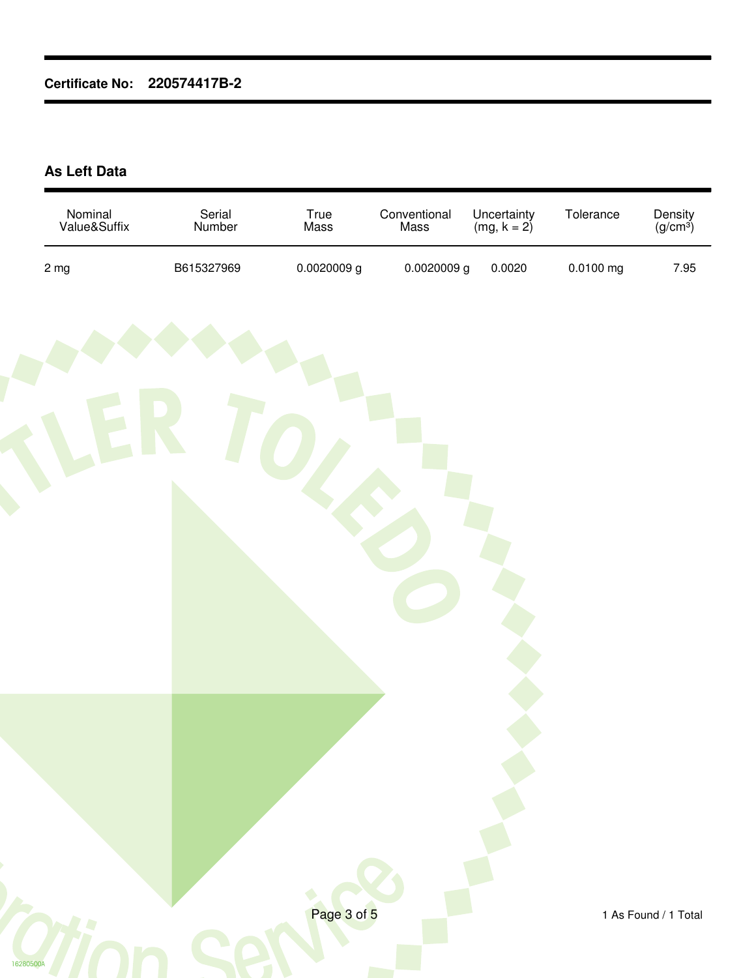#### **As Left Data**

| Nominal<br>Value&Suffix | Serial<br>Number | True<br>Mass | Conventional<br>Mass | Uncertainty<br>(mg, $k = 2$ ) | Tolerance   | Density<br>(g/cm <sup>3</sup> ) |
|-------------------------|------------------|--------------|----------------------|-------------------------------|-------------|---------------------------------|
| $2 \, mg$               | B615327969       | 0.0020009g   | 0.0020009g           | 0.0020                        | $0.0100$ mg | 7.95                            |
|                         |                  |              |                      |                               |             |                                 |
| 16280500A               |                  | Page 3 of 5  |                      |                               |             | 1 As Found / 1 Total            |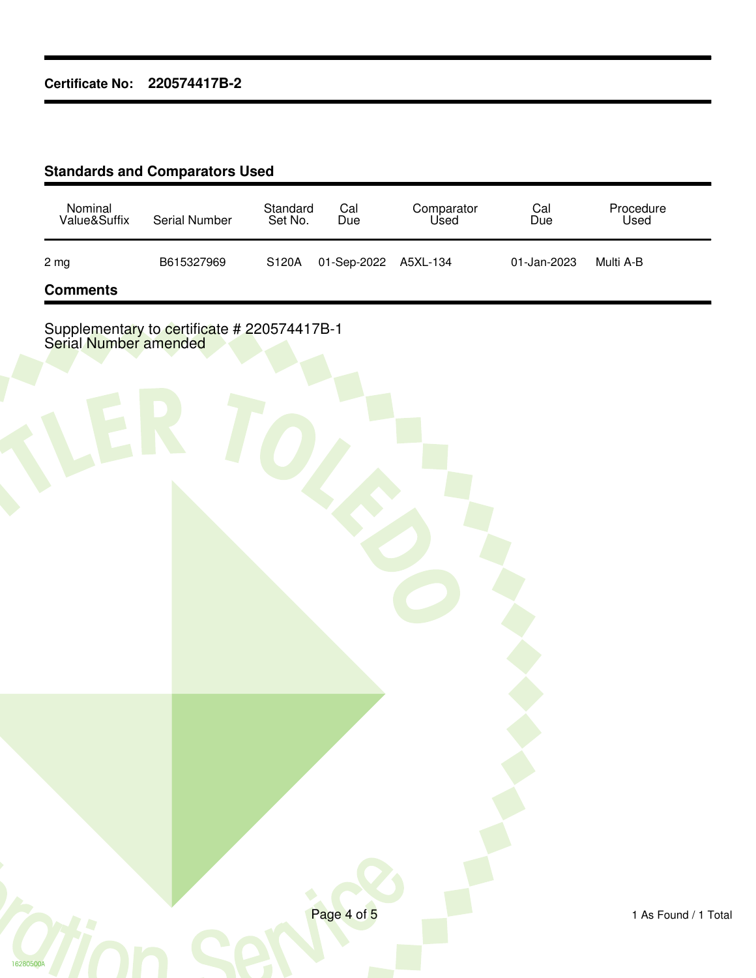#### **Standards and Comparators Used**

16280500A

| Nominal<br>Value&Suffix | Serial Number | Standard<br>Set No. | Cal<br>Due           | Comparator<br>Used | Cal<br>Due  | Procedure<br>Used |
|-------------------------|---------------|---------------------|----------------------|--------------------|-------------|-------------------|
| 2 mg                    | B615327969    | S120A               | 01-Sep-2022 A5XL-134 |                    | 01-Jan-2023 | Multi A-B         |
| <b>Comments</b>         |               |                     |                      |                    |             |                   |

Supplementary to certificate # 220574417B-1 Serial Number amended